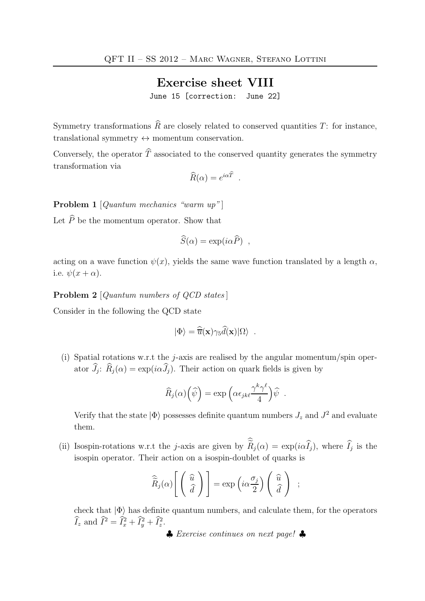## Exercise sheet VIII

June 15 [correction: June 22]

Symmetry transformations  $\widehat{R}$  are closely related to conserved quantities T: for instance, translational symmetry  $\leftrightarrow$  momentum conservation.

Conversely, the operator  $\widehat{T}$  associated to the conserved quantity generates the symmetry transformation via

$$
\widehat{R}(\alpha) = e^{i\alpha \widehat{T}} \ .
$$

Problem 1 [Quantum mechanics "warm up"]

Let  $\widehat{P}$  be the momentum operator. Show that

$$
\widehat{S}(\alpha) = \exp(i\alpha \widehat{P}) ,
$$

acting on a wave function  $\psi(x)$ , yields the same wave function translated by a length  $\alpha$ , i.e.  $\psi(x+\alpha)$ .

Problem 2 [Quantum numbers of QCD states]

Consider in the following the QCD state

$$
|\Phi\rangle = \widehat{\overline{u}}(\mathbf{x})\gamma_5\widehat{d}(\mathbf{x})|\Omega\rangle.
$$

(i) Spatial rotations w.r.t the *j*-axis are realised by the angular momentum/spin operator  $J_j$ :  $R_j(\alpha) = \exp(i\alpha J_j)$ . Their action on quark fields is given by

$$
\widehat{R}_j(\alpha)\left(\widehat{\psi}\right) = \exp\left(\alpha \epsilon_{jk\ell} \frac{\gamma^k \gamma^\ell}{4}\right) \widehat{\psi} .
$$

Verify that the state  $|\Phi\rangle$  possesses definite quantum numbers  $J_z$  and  $J^2$  and evaluate them.

(ii) Isospin-rotations w.r.t the j-axis are given by  $R_j(\alpha) = \exp(i\alpha I_j)$ , where  $I_j$  is the isospin operator. Their action on a isospin-doublet of quarks is

$$
\widehat{\widetilde{R}}_j(\alpha) \left[ \begin{pmatrix} \widehat{u} \\ \widehat{d} \end{pmatrix} \right] = \exp \left( i \alpha \frac{\sigma_j}{2} \right) \begin{pmatrix} \widehat{u} \\ \widehat{d} \end{pmatrix} ;
$$

check that  $|\Phi\rangle$  has definite quantum numbers, and calculate them, for the operators  $\widehat{I}_z$  and  $\widehat{I}^2 = \widehat{I}_x^2 + \widehat{I}_y^2 + \widehat{I}_z^2$ .

♣ Exercise continues on next page! ♣